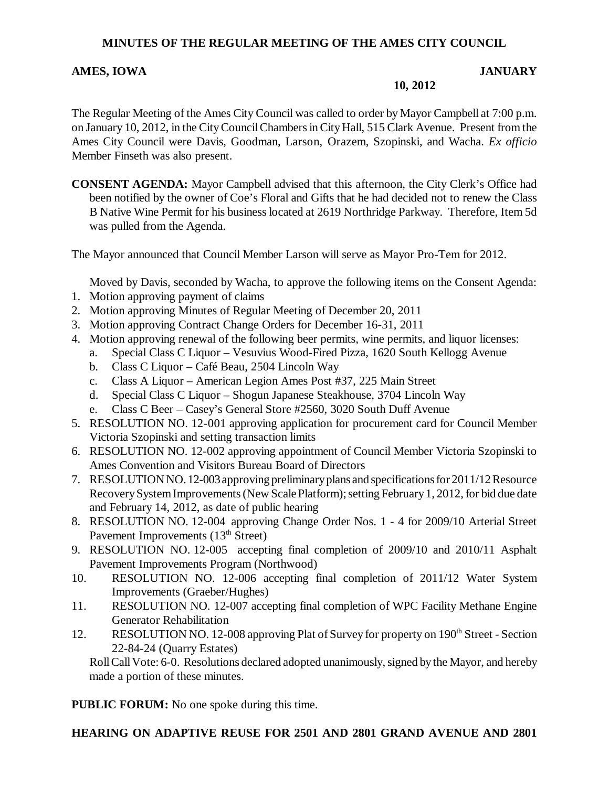## **MINUTES OF THE REGULAR MEETING OF THE AMES CITY COUNCIL**

#### **AMES, IOWA JANUARY**

**10, 2012**

The Regular Meeting of the Ames City Council was called to order by Mayor Campbell at 7:00 p.m. on January 10, 2012, in the City Council Chambers in City Hall, 515 Clark Avenue. Present from the Ames City Council were Davis, Goodman, Larson, Orazem, Szopinski, and Wacha. *Ex officio* Member Finseth was also present.

**CONSENT AGENDA:** Mayor Campbell advised that this afternoon, the City Clerk's Office had been notified by the owner of Coe's Floral and Gifts that he had decided not to renew the Class B Native Wine Permit for his business located at 2619 Northridge Parkway. Therefore, Item 5d was pulled from the Agenda.

The Mayor announced that Council Member Larson will serve as Mayor Pro-Tem for 2012.

Moved by Davis, seconded by Wacha, to approve the following items on the Consent Agenda:

- 1. Motion approving payment of claims
- 2. Motion approving Minutes of Regular Meeting of December 20, 2011
- 3. Motion approving Contract Change Orders for December 16-31, 2011
- 4. Motion approving renewal of the following beer permits, wine permits, and liquor licenses:
	- a. Special Class C Liquor Vesuvius Wood-Fired Pizza, 1620 South Kellogg Avenue
		- b. Class C Liquor Café Beau, 2504 Lincoln Way
		- c. Class A Liquor American Legion Ames Post #37, 225 Main Street
		- d. Special Class C Liquor Shogun Japanese Steakhouse, 3704 Lincoln Way
		- e. Class C Beer Casey's General Store #2560, 3020 South Duff Avenue
- 5. RESOLUTION NO. 12-001 approving application for procurement card for Council Member Victoria Szopinski and setting transaction limits
- 6. RESOLUTION NO. 12-002 approving appointment of Council Member Victoria Szopinski to Ames Convention and Visitors Bureau Board of Directors
- 7. RESOLUTION NO. 12-003 approving preliminary plans and specifications for 2011/12 Resource Recovery System Improvements (New Scale Platform); setting February 1, 2012, for bid due date and February 14, 2012, as date of public hearing
- 8. RESOLUTION NO. 12-004 approving Change Order Nos. 1 4 for 2009/10 Arterial Street Pavement Improvements (13<sup>th</sup> Street)
- 9. RESOLUTION NO. 12-005 accepting final completion of 2009/10 and 2010/11 Asphalt Pavement Improvements Program (Northwood)
- 10. RESOLUTION NO. 12-006 accepting final completion of 2011/12 Water System Improvements (Graeber/Hughes)
- 11. RESOLUTION NO. 12-007 accepting final completion of WPC Facility Methane Engine Generator Rehabilitation
- 12. RESOLUTION NO. 12-008 approving Plat of Survey for property on 190<sup>th</sup> Street Section 22-84-24 (Quarry Estates)

Roll Call Vote: 6-0. Resolutions declared adopted unanimously, signed by the Mayor, and hereby made a portion of these minutes.

**PUBLIC FORUM:** No one spoke during this time.

## **HEARING ON ADAPTIVE REUSE FOR 2501 AND 2801 GRAND AVENUE AND 2801**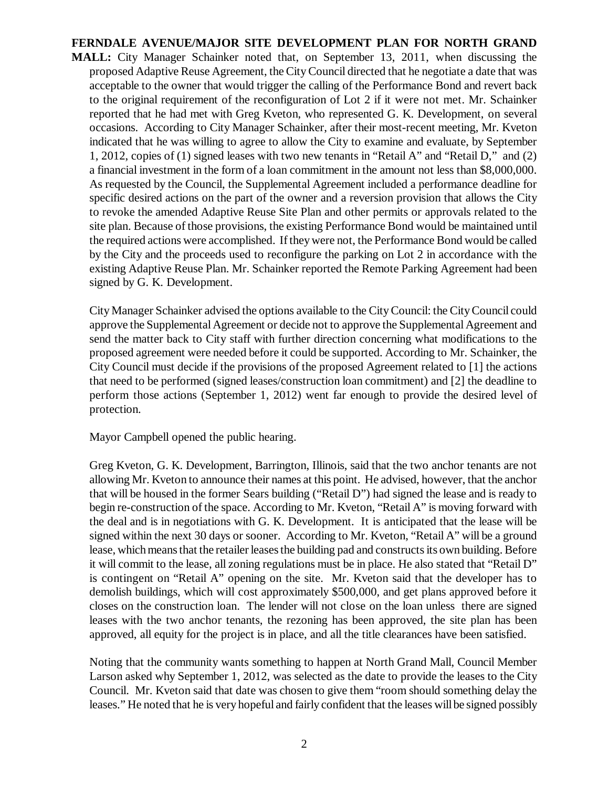## **FERNDALE AVENUE/MAJOR SITE DEVELOPMENT PLAN FOR NORTH GRAND**

**MALL:** City Manager Schainker noted that, on September 13, 2011, when discussing the proposed Adaptive Reuse Agreement, the City Council directed that he negotiate a date that was acceptable to the owner that would trigger the calling of the Performance Bond and revert back to the original requirement of the reconfiguration of Lot 2 if it were not met. Mr. Schainker reported that he had met with Greg Kveton, who represented G. K. Development, on several occasions. According to City Manager Schainker, after their most-recent meeting, Mr. Kveton indicated that he was willing to agree to allow the City to examine and evaluate, by September 1, 2012, copies of (1) signed leases with two new tenants in "Retail A" and "Retail D," and (2) a financial investment in the form of a loan commitment in the amount not less than \$8,000,000. As requested by the Council, the Supplemental Agreement included a performance deadline for specific desired actions on the part of the owner and a reversion provision that allows the City to revoke the amended Adaptive Reuse Site Plan and other permits or approvals related to the site plan. Because of those provisions, the existing Performance Bond would be maintained until the required actions were accomplished. If they were not, the Performance Bond would be called by the City and the proceeds used to reconfigure the parking on Lot 2 in accordance with the existing Adaptive Reuse Plan. Mr. Schainker reported the Remote Parking Agreement had been signed by G. K. Development.

City Manager Schainker advised the options available to the City Council: the City Council could approve the Supplemental Agreement or decide not to approve the Supplemental Agreement and send the matter back to City staff with further direction concerning what modifications to the proposed agreement were needed before it could be supported. According to Mr. Schainker, the City Council must decide if the provisions of the proposed Agreement related to [1] the actions that need to be performed (signed leases/construction loan commitment) and [2] the deadline to perform those actions (September 1, 2012) went far enough to provide the desired level of protection.

Mayor Campbell opened the public hearing.

Greg Kveton, G. K. Development, Barrington, Illinois, said that the two anchor tenants are not allowing Mr. Kveton to announce their names at this point. He advised, however, that the anchor that will be housed in the former Sears building ("Retail D") had signed the lease and is ready to begin re-construction of the space. According to Mr. Kveton, "Retail A" is moving forward with the deal and is in negotiations with G. K. Development. It is anticipated that the lease will be signed within the next 30 days or sooner. According to Mr. Kveton, "Retail A" will be a ground lease, which means that the retailer leases the building pad and constructs its own building. Before it will commit to the lease, all zoning regulations must be in place. He also stated that "Retail D" is contingent on "Retail A" opening on the site. Mr. Kveton said that the developer has to demolish buildings, which will cost approximately \$500,000, and get plans approved before it closes on the construction loan. The lender will not close on the loan unless there are signed leases with the two anchor tenants, the rezoning has been approved, the site plan has been approved, all equity for the project is in place, and all the title clearances have been satisfied.

Noting that the community wants something to happen at North Grand Mall, Council Member Larson asked why September 1, 2012, was selected as the date to provide the leases to the City Council. Mr. Kveton said that date was chosen to give them "room should something delay the leases." He noted that he is very hopeful and fairly confident that the leases will be signed possibly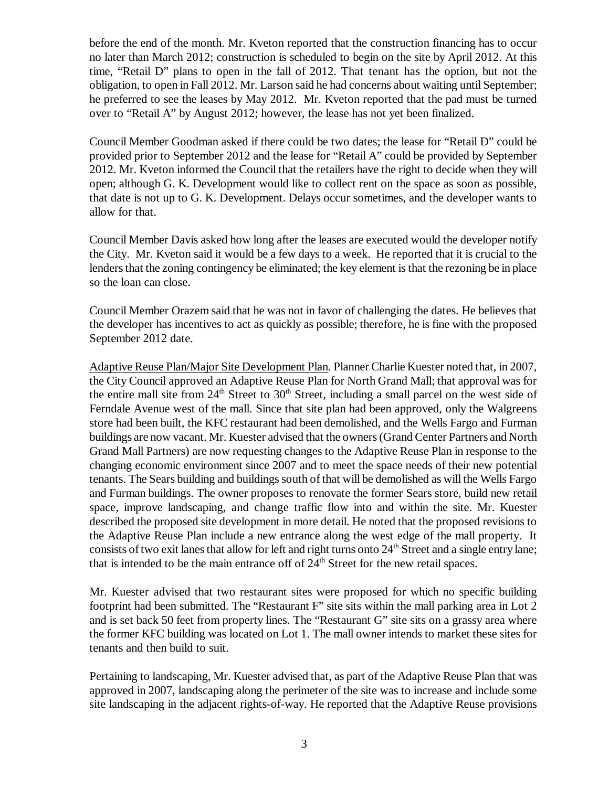before the end of the month. Mr. Kveton reported that the construction financing has to occur no later than March 2012; construction is scheduled to begin on the site by April 2012. At this time, "Retail D" plans to open in the fall of 2012. That tenant has the option, but not the obligation, to open in Fall 2012. Mr. Larson said he had concerns about waiting until September; he preferred to see the leases by May 2012. Mr. Kveton reported that the pad must be turned over to "Retail A" by August 2012; however, the lease has not yet been finalized.

Council Member Goodman asked if there could be two dates; the lease for "Retail D" could be provided prior to September 2012 and the lease for "Retail A" could be provided by September 2012. Mr. Kveton informed the Council that the retailers have the right to decide when they will open; although G. K. Development would like to collect rent on the space as soon as possible, that date is not up to G. K. Development. Delays occur sometimes, and the developer wants to allow for that.

Council Member Davis asked how long after the leases are executed would the developer notify the City. Mr. Kveton said it would be a few days to a week. He reported that it is crucial to the lenders that the zoning contingency be eliminated; the key element is that the rezoning be in place so the loan can close.

Council Member Orazem said that he was not in favor of challenging the dates. He believes that the developer has incentives to act as quickly as possible; therefore, he is fine with the proposed September 2012 date.

Adaptive Reuse Plan/Major Site Development Plan. Planner Charlie Kuester noted that, in 2007, the City Council approved an Adaptive Reuse Plan for North Grand Mall; that approval was for the entire mall site from  $24<sup>th</sup>$  Street to  $30<sup>th</sup>$  Street, including a small parcel on the west side of Ferndale Avenue west of the mall. Since that site plan had been approved, only the Walgreens store had been built, the KFC restaurant had been demolished, and the Wells Fargo and Furman buildings are now vacant. Mr. Kuester advised that the owners (Grand Center Partners and North Grand Mall Partners) are now requesting changes to the Adaptive Reuse Plan in response to the changing economic environment since 2007 and to meet the space needs of their new potential tenants. The Sears building and buildings south of that will be demolished as will the Wells Fargo and Furman buildings. The owner proposes to renovate the former Sears store, build new retail space, improve landscaping, and change traffic flow into and within the site. Mr. Kuester described the proposed site development in more detail. He noted that the proposed revisions to the Adaptive Reuse Plan include a new entrance along the west edge of the mall property. It consists of two exit lanes that allow for left and right turns onto  $24<sup>th</sup>$  Street and a single entry lane; that is intended to be the main entrance off of  $24<sup>th</sup>$  Street for the new retail spaces.

Mr. Kuester advised that two restaurant sites were proposed for which no specific building footprint had been submitted. The "Restaurant F" site sits within the mall parking area in Lot 2 and is set back 50 feet from property lines. The "Restaurant G" site sits on a grassy area where the former KFC building was located on Lot 1. The mall owner intends to market these sites for tenants and then build to suit.

Pertaining to landscaping, Mr. Kuester advised that, as part of the Adaptive Reuse Plan that was approved in 2007, landscaping along the perimeter of the site was to increase and include some site landscaping in the adjacent rights-of-way. He reported that the Adaptive Reuse provisions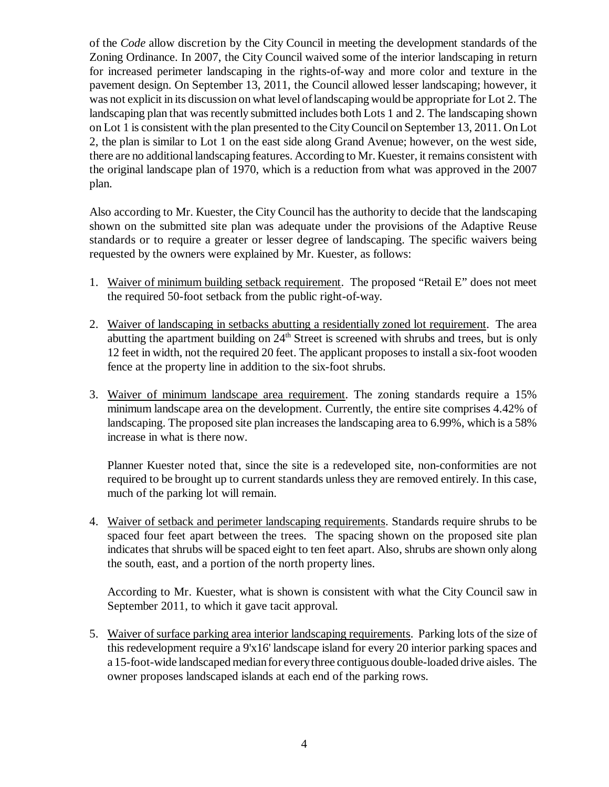of the *Code* allow discretion by the City Council in meeting the development standards of the Zoning Ordinance. In 2007, the City Council waived some of the interior landscaping in return for increased perimeter landscaping in the rights-of-way and more color and texture in the pavement design. On September 13, 2011, the Council allowed lesser landscaping; however, it was not explicit in its discussion on what level of landscaping would be appropriate for Lot 2. The landscaping plan that was recently submitted includes both Lots 1 and 2. The landscaping shown on Lot 1 is consistent with the plan presented to the City Council on September 13, 2011. On Lot 2, the plan is similar to Lot 1 on the east side along Grand Avenue; however, on the west side, there are no additional landscaping features. According to Mr. Kuester, it remains consistent with the original landscape plan of 1970, which is a reduction from what was approved in the 2007 plan.

Also according to Mr. Kuester, the City Council has the authority to decide that the landscaping shown on the submitted site plan was adequate under the provisions of the Adaptive Reuse standards or to require a greater or lesser degree of landscaping. The specific waivers being requested by the owners were explained by Mr. Kuester, as follows:

- 1. Waiver of minimum building setback requirement. The proposed "Retail E" does not meet the required 50-foot setback from the public right-of-way.
- 2. Waiver of landscaping in setbacks abutting a residentially zoned lot requirement. The area abutting the apartment building on  $24<sup>th</sup>$  Street is screened with shrubs and trees, but is only 12 feet in width, not the required 20 feet. The applicant proposes to install a six-foot wooden fence at the property line in addition to the six-foot shrubs.
- 3. Waiver of minimum landscape area requirement. The zoning standards require a 15% minimum landscape area on the development. Currently, the entire site comprises 4.42% of landscaping. The proposed site plan increases the landscaping area to 6.99%, which is a 58% increase in what is there now.

Planner Kuester noted that, since the site is a redeveloped site, non-conformities are not required to be brought up to current standards unless they are removed entirely. In this case, much of the parking lot will remain.

4. Waiver of setback and perimeter landscaping requirements. Standards require shrubs to be spaced four feet apart between the trees. The spacing shown on the proposed site plan indicates that shrubs will be spaced eight to ten feet apart. Also, shrubs are shown only along the south, east, and a portion of the north property lines.

According to Mr. Kuester, what is shown is consistent with what the City Council saw in September 2011, to which it gave tacit approval.

5. Waiver of surface parking area interior landscaping requirements. Parking lots of the size of this redevelopment require a 9'x16' landscape island for every 20 interior parking spaces and a 15-foot-wide landscaped median for every three contiguous double-loaded drive aisles. The owner proposes landscaped islands at each end of the parking rows.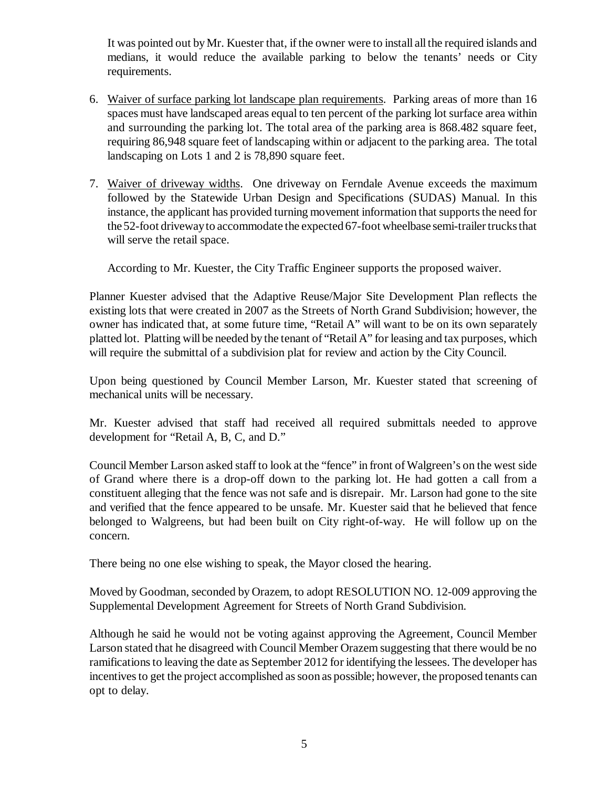It was pointed out by Mr. Kuester that, if the owner were to install all the required islands and medians, it would reduce the available parking to below the tenants' needs or City requirements.

- 6. Waiver of surface parking lot landscape plan requirements. Parking areas of more than 16 spaces must have landscaped areas equal to ten percent of the parking lot surface area within and surrounding the parking lot. The total area of the parking area is 868.482 square feet, requiring 86,948 square feet of landscaping within or adjacent to the parking area. The total landscaping on Lots 1 and 2 is 78,890 square feet.
- 7. Waiver of driveway widths. One driveway on Ferndale Avenue exceeds the maximum followed by the Statewide Urban Design and Specifications (SUDAS) Manual. In this instance, the applicant has provided turning movement information that supports the need for the 52-foot driveway to accommodate the expected 67-foot wheelbase semi-trailer trucks that will serve the retail space.

According to Mr. Kuester, the City Traffic Engineer supports the proposed waiver.

Planner Kuester advised that the Adaptive Reuse/Major Site Development Plan reflects the existing lots that were created in 2007 as the Streets of North Grand Subdivision; however, the owner has indicated that, at some future time, "Retail A" will want to be on its own separately platted lot. Platting will be needed by the tenant of "Retail A" for leasing and tax purposes, which will require the submittal of a subdivision plat for review and action by the City Council.

Upon being questioned by Council Member Larson, Mr. Kuester stated that screening of mechanical units will be necessary.

Mr. Kuester advised that staff had received all required submittals needed to approve development for "Retail A, B, C, and D."

Council Member Larson asked staff to look at the "fence" in front of Walgreen's on the west side of Grand where there is a drop-off down to the parking lot. He had gotten a call from a constituent alleging that the fence was not safe and is disrepair. Mr. Larson had gone to the site and verified that the fence appeared to be unsafe. Mr. Kuester said that he believed that fence belonged to Walgreens, but had been built on City right-of-way. He will follow up on the concern.

There being no one else wishing to speak, the Mayor closed the hearing.

Moved by Goodman, seconded by Orazem, to adopt RESOLUTION NO. 12-009 approving the Supplemental Development Agreement for Streets of North Grand Subdivision.

Although he said he would not be voting against approving the Agreement, Council Member Larson stated that he disagreed with Council Member Orazem suggesting that there would be no ramifications to leaving the date as September 2012 for identifying the lessees. The developer has incentives to get the project accomplished as soon as possible; however, the proposed tenants can opt to delay.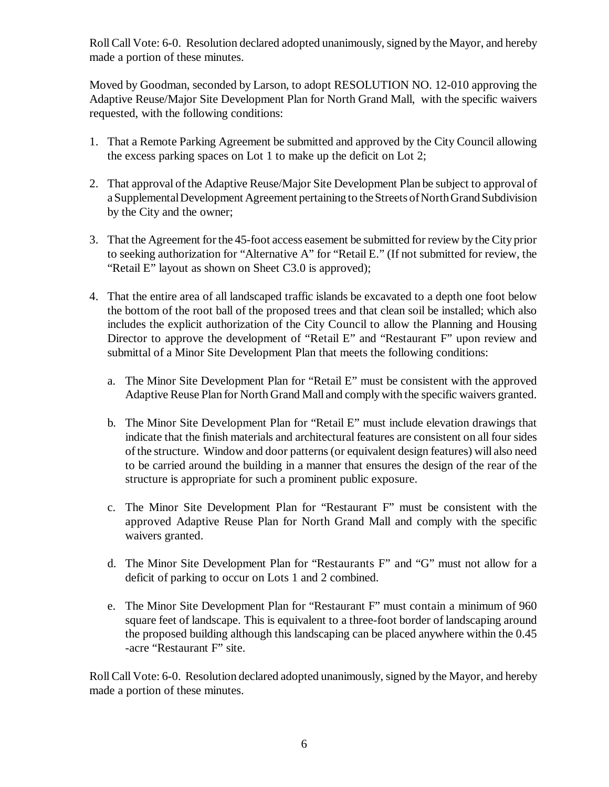Roll Call Vote: 6-0. Resolution declared adopted unanimously, signed by the Mayor, and hereby made a portion of these minutes.

Moved by Goodman, seconded by Larson, to adopt RESOLUTION NO. 12-010 approving the Adaptive Reuse/Major Site Development Plan for North Grand Mall, with the specific waivers requested, with the following conditions:

- 1. That a Remote Parking Agreement be submitted and approved by the City Council allowing the excess parking spaces on Lot 1 to make up the deficit on Lot 2;
- 2. That approval of the Adaptive Reuse/Major Site Development Plan be subject to approval of a Supplemental Development Agreement pertaining to the Streets of North Grand Subdivision by the City and the owner;
- 3. That the Agreement for the 45-foot access easement be submitted for review by the City prior to seeking authorization for "Alternative A" for "Retail E." (If not submitted for review, the "Retail E" layout as shown on Sheet C3.0 is approved);
- 4. That the entire area of all landscaped traffic islands be excavated to a depth one foot below the bottom of the root ball of the proposed trees and that clean soil be installed; which also includes the explicit authorization of the City Council to allow the Planning and Housing Director to approve the development of "Retail E" and "Restaurant F" upon review and submittal of a Minor Site Development Plan that meets the following conditions:
	- a. The Minor Site Development Plan for "Retail E" must be consistent with the approved Adaptive Reuse Plan for North Grand Mall and comply with the specific waivers granted.
	- b. The Minor Site Development Plan for "Retail E" must include elevation drawings that indicate that the finish materials and architectural features are consistent on all four sides of the structure. Window and door patterns (or equivalent design features) will also need to be carried around the building in a manner that ensures the design of the rear of the structure is appropriate for such a prominent public exposure.
	- c. The Minor Site Development Plan for "Restaurant F" must be consistent with the approved Adaptive Reuse Plan for North Grand Mall and comply with the specific waivers granted.
	- d. The Minor Site Development Plan for "Restaurants F" and "G" must not allow for a deficit of parking to occur on Lots 1 and 2 combined.
	- e. The Minor Site Development Plan for "Restaurant F" must contain a minimum of 960 square feet of landscape. This is equivalent to a three-foot border of landscaping around the proposed building although this landscaping can be placed anywhere within the 0.45 -acre "Restaurant F" site.

Roll Call Vote: 6-0. Resolution declared adopted unanimously, signed by the Mayor, and hereby made a portion of these minutes.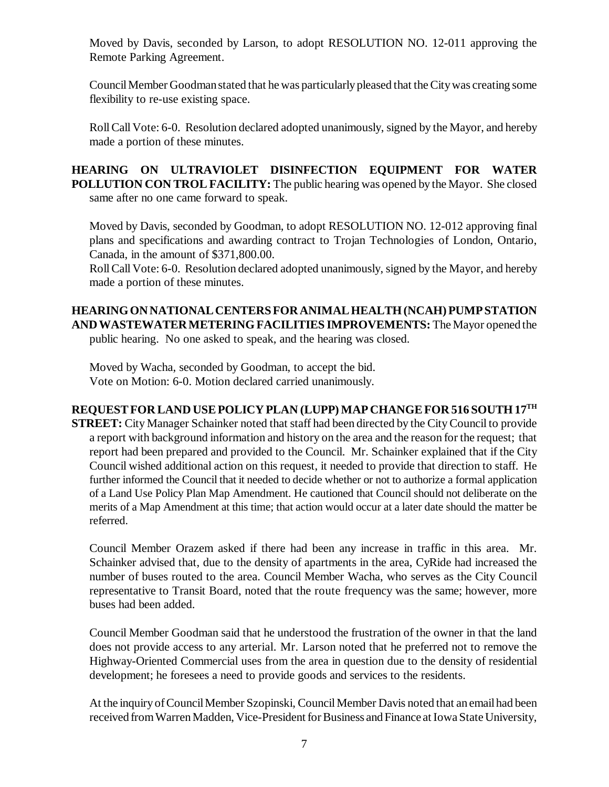Moved by Davis, seconded by Larson, to adopt RESOLUTION NO. 12-011 approving the Remote Parking Agreement.

Council Member Goodman stated that he was particularly pleased that the City was creating some flexibility to re-use existing space.

Roll Call Vote: 6-0. Resolution declared adopted unanimously, signed by the Mayor, and hereby made a portion of these minutes.

**HEARING ON ULTRAVIOLET DISINFECTION EQUIPMENT FOR WATER POLLUTION CON TROL FACILITY:** The public hearing was opened by the Mayor. She closed same after no one came forward to speak.

Moved by Davis, seconded by Goodman, to adopt RESOLUTION NO. 12-012 approving final plans and specifications and awarding contract to Trojan Technologies of London, Ontario, Canada, in the amount of \$371,800.00.

Roll Call Vote: 6-0. Resolution declared adopted unanimously, signed by the Mayor, and hereby made a portion of these minutes.

# **HEARING ON NATIONAL CENTERS FOR ANIMAL HEALTH (NCAH) PUMP STATION AND WASTEWATER METERING FACILITIES IMPROVEMENTS:** The Mayor opened the

public hearing. No one asked to speak, and the hearing was closed.

Moved by Wacha, seconded by Goodman, to accept the bid. Vote on Motion: 6-0. Motion declared carried unanimously.

# **REQUEST FOR LAND USE POLICY PLAN (LUPP) MAP CHANGE FOR 516 SOUTH 17TH**

**STREET:** City Manager Schainker noted that staff had been directed by the City Council to provide a report with background information and history on the area and the reason for the request; that report had been prepared and provided to the Council. Mr. Schainker explained that if the City Council wished additional action on this request, it needed to provide that direction to staff. He further informed the Council that it needed to decide whether or not to authorize a formal application of a Land Use Policy Plan Map Amendment. He cautioned that Council should not deliberate on the merits of a Map Amendment at this time; that action would occur at a later date should the matter be referred.

Council Member Orazem asked if there had been any increase in traffic in this area. Mr. Schainker advised that, due to the density of apartments in the area, CyRide had increased the number of buses routed to the area. Council Member Wacha, who serves as the City Council representative to Transit Board, noted that the route frequency was the same; however, more buses had been added.

Council Member Goodman said that he understood the frustration of the owner in that the land does not provide access to any arterial. Mr. Larson noted that he preferred not to remove the Highway-Oriented Commercial uses from the area in question due to the density of residential development; he foresees a need to provide goods and services to the residents.

At the inquiry of Council Member Szopinski, Council Member Davis noted that an email had been received from Warren Madden, Vice-President for Business and Finance at Iowa State University,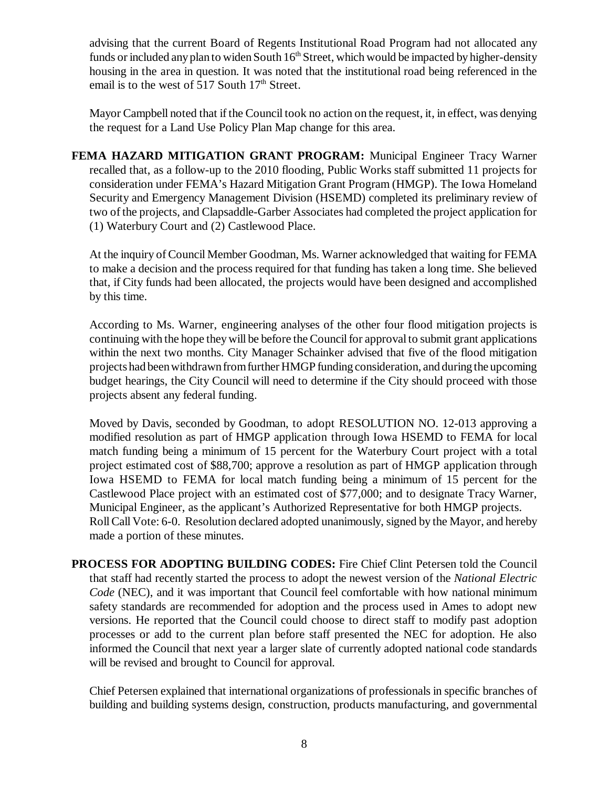advising that the current Board of Regents Institutional Road Program had not allocated any funds or included any plan to widen South  $16<sup>th</sup>$  Street, which would be impacted by higher-density housing in the area in question. It was noted that the institutional road being referenced in the email is to the west of 517 South  $17<sup>th</sup>$  Street.

Mayor Campbell noted that if the Council took no action on the request, it, in effect, was denying the request for a Land Use Policy Plan Map change for this area.

**FEMA HAZARD MITIGATION GRANT PROGRAM:** Municipal Engineer Tracy Warner recalled that, as a follow-up to the 2010 flooding, Public Works staff submitted 11 projects for consideration under FEMA's Hazard Mitigation Grant Program (HMGP). The Iowa Homeland Security and Emergency Management Division (HSEMD) completed its preliminary review of two of the projects, and Clapsaddle-Garber Associates had completed the project application for (1) Waterbury Court and (2) Castlewood Place.

At the inquiry of Council Member Goodman, Ms. Warner acknowledged that waiting for FEMA to make a decision and the process required for that funding has taken a long time. She believed that, if City funds had been allocated, the projects would have been designed and accomplished by this time.

According to Ms. Warner, engineering analyses of the other four flood mitigation projects is continuing with the hope they will be before the Council for approval to submit grant applications within the next two months. City Manager Schainker advised that five of the flood mitigation projects had been withdrawn from further HMGP funding consideration, and during the upcoming budget hearings, the City Council will need to determine if the City should proceed with those projects absent any federal funding.

Moved by Davis, seconded by Goodman, to adopt RESOLUTION NO. 12-013 approving a modified resolution as part of HMGP application through Iowa HSEMD to FEMA for local match funding being a minimum of 15 percent for the Waterbury Court project with a total project estimated cost of \$88,700; approve a resolution as part of HMGP application through Iowa HSEMD to FEMA for local match funding being a minimum of 15 percent for the Castlewood Place project with an estimated cost of \$77,000; and to designate Tracy Warner, Municipal Engineer, as the applicant's Authorized Representative for both HMGP projects. Roll Call Vote: 6-0. Resolution declared adopted unanimously, signed by the Mayor, and hereby made a portion of these minutes.

**PROCESS FOR ADOPTING BUILDING CODES:** Fire Chief Clint Petersen told the Council that staff had recently started the process to adopt the newest version of the *National Electric Code* (NEC), and it was important that Council feel comfortable with how national minimum safety standards are recommended for adoption and the process used in Ames to adopt new versions. He reported that the Council could choose to direct staff to modify past adoption processes or add to the current plan before staff presented the NEC for adoption. He also informed the Council that next year a larger slate of currently adopted national code standards will be revised and brought to Council for approval.

Chief Petersen explained that international organizations of professionals in specific branches of building and building systems design, construction, products manufacturing, and governmental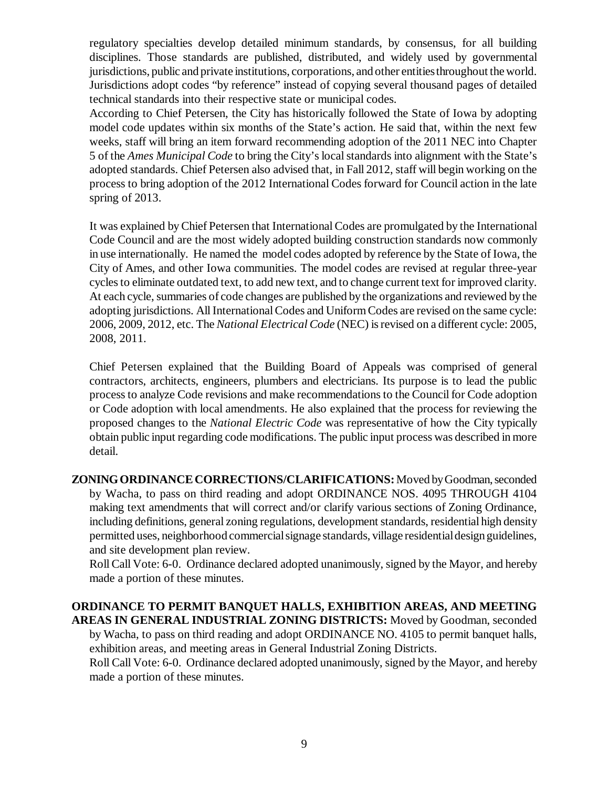regulatory specialties develop detailed minimum standards, by consensus, for all building disciplines. Those standards are published, distributed, and widely used by governmental jurisdictions, public and private institutions, corporations, and other entities throughout the world. Jurisdictions adopt codes "by reference" instead of copying several thousand pages of detailed technical standards into their respective state or municipal codes.

According to Chief Petersen, the City has historically followed the State of Iowa by adopting model code updates within six months of the State's action. He said that, within the next few weeks, staff will bring an item forward recommending adoption of the 2011 NEC into Chapter 5 of the *Ames Municipal Code* to bring the City's local standards into alignment with the State's adopted standards. Chief Petersen also advised that, in Fall 2012, staff will begin working on the process to bring adoption of the 2012 International Codes forward for Council action in the late spring of 2013.

It was explained by Chief Petersen that International Codes are promulgated by the International Code Council and are the most widely adopted building construction standards now commonly in use internationally. He named the model codes adopted by reference by the State of Iowa, the City of Ames, and other Iowa communities. The model codes are revised at regular three-year cycles to eliminate outdated text, to add new text, and to change current text for improved clarity. At each cycle, summaries of code changes are published by the organizations and reviewed by the adopting jurisdictions. All International Codes and Uniform Codes are revised on the same cycle: 2006, 2009, 2012, etc. The *National Electrical Code* (NEC) is revised on a different cycle: 2005, 2008, 2011.

Chief Petersen explained that the Building Board of Appeals was comprised of general contractors, architects, engineers, plumbers and electricians. Its purpose is to lead the public process to analyze Code revisions and make recommendations to the Council for Code adoption or Code adoption with local amendments. He also explained that the process for reviewing the proposed changes to the *National Electric Code* was representative of how the City typically obtain public input regarding code modifications. The public input process was described in more detail.

**ZONING ORDINANCE CORRECTIONS/CLARIFICATIONS:** Moved by Goodman, seconded by Wacha, to pass on third reading and adopt ORDINANCE NOS. 4095 THROUGH 4104 making text amendments that will correct and/or clarify various sections of Zoning Ordinance, including definitions, general zoning regulations, development standards, residential high density permitted uses, neighborhood commercial signage standards, village residential design guidelines, and site development plan review.

Roll Call Vote: 6-0. Ordinance declared adopted unanimously, signed by the Mayor, and hereby made a portion of these minutes.

#### **ORDINANCE TO PERMIT BANQUET HALLS, EXHIBITION AREAS, AND MEETING AREAS IN GENERAL INDUSTRIAL ZONING DISTRICTS:** Moved by Goodman, seconded

by Wacha, to pass on third reading and adopt ORDINANCE NO. 4105 to permit banquet halls, exhibition areas, and meeting areas in General Industrial Zoning Districts. Roll Call Vote: 6-0. Ordinance declared adopted unanimously, signed by the Mayor, and hereby

made a portion of these minutes.